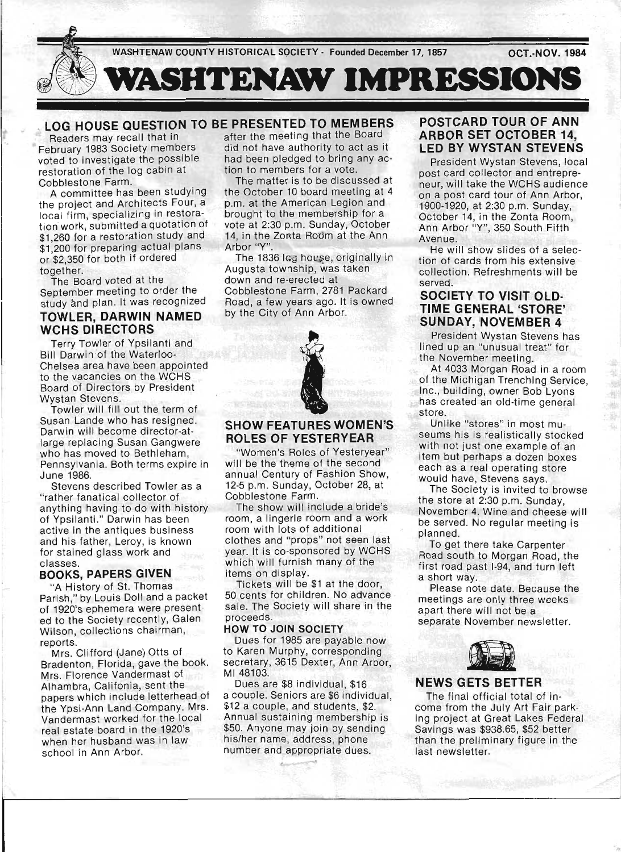

February 1983 Society members<br>voted to investigate the possible restoration of the log cabin at

the project and Architects Four, a p,m, at the American Legion and local firm specializing in restoral brought to the membership for a local firm, specializing in restora-<br>tion work, submitted a quotation of vote at 2:30 p.m. Sunday, October Franchised a quotation of vote at 2:30 p.m. Sunday, October \$1,260 for a restoration study and 14, in the Zorta Room at the Ann \$1,200 for preparing actual plans Arbor "Y".<br>
\$2,250 for poth if ordered The 1836 los bouse or \$1,260 for a restoration study and 14, in the Zonta Rodm at the Ann \$1,200 for preparing actual plans Arbor "Y". or \$2,350 for both if ordered The 1836 Icg house, originally in

study and plan. It was recognized

# **TOWLER, DARWIN NAMED** by the City of Ann Arbor. **WCHS DIRECTORS**

Terry Towler of Ypsilanti and Bill Darwin of the Waterloo-Chelsea area have been appointed to the vacancies on the WCHS Board of Directors by President Wystan Stevens.

Towler will fill out the term of Susan Lande who has resigned. Darwin will become director-atlarge replacing Susan Gangwere who has moved to Bethleham, Pennsylvania. Both terms expire in June 1986.

Stevens described Towler as a "rather fanatical collector of anything having to do with history of Ypsilanti." Darwin has been active in the antiques business and his father, Leroy, is known for stained glass work and classes.

# **BOOKS, PAPERS GIVEN**

"A History of St. Thomas Parish," by Louis Doll and a packet of 1920's ephemera were presented to the Society recently, Galen Wilson, collections chairman, reports.

Mrs. Clifford (Jane) Otts of Bradenton, Florida, gave the book. Mrs. Florence Vandermast of Alhambra, Califonia, sent the papers which include letterhead of the Ypsi-Ann Land Company. Mrs. Vandermast worked for the local real estate board in the 1920's when her husband was in law school in Ann Arbor.

# **LOG HOUSE QUESTION TO BE PRESENTED TO MEMBERS**<br>Readers may recall that in after the meeting that the Board

after the meeting that the Board<br>did not have authority to act as it had been pledged to bring any ac-<br>tion to members for a vote.

Cobblestone Farm,<br>Cobblestone Farm,<br>Committee has been studying the October 10 board meeting at 4 A committee has been studying the October 10 board meeting at 4<br>e project and Architects Four, a b.m. at the American Legion and

together. Augusta township, was taken<br>The Board voted at the down and re-erected at The Board voted at the down and re-erected at . September meeting to order the Cobblestone Farm, 2781 Packard<br>study and plan, It was recognized Road, a few years ago. It is owned



### **SHOW FEATURES WOMEN'S ROLES OF YESTERYEAR**

"Women's Roles of Yesteryear" will be the theme of the second annual Century of Fashion Show, 12-5 p.m. Sunday, October 28, at Cobblestone Farm.

The show will include a bride's room, a lingerie room and a work room with lots of additional clothes and "props" not seen last year. It is co-sponsored by WCHS which will furnish many of the items on display.

Tickets will be \$1 at the door, 50 cents for children. No advance sale. The Society will share in the proceeds.

### **HOW TO JOIN SOCIETY**

Dues for 1985 are payable now to Karen Murphy, corresponding secretary, 3615 Dexter, Ann Arbor, MI 48103.

Dues are \$8 individual, \$16 a couple. Seniors are \$6 individual, \$12 a couple, and students, \$2. Annual sustaining membership is \$50. Anyone may join by sending his/her name, address, phone number and appropriate dues.

## **POSTCARD TOUR OF ANN ARBOR SET OCTOBER 14, LED BY WYSTAN STEVENS**

President Wystan Stevens, local post card collector and entrepreneur, will take the WCHS audience on a post card tour of Ann Arbor, 1900-1920, at 2:30 p.m. Sunday, October 14, in the Zonta Room, Ann Arbor "Y", 350 South Fifth Avenue.

He will show slides of a selection of cards from his extensive collection. Refreshments will be served.

### **SOCIETY TO VISIT OLD· TIME GENERAL 'STORE' SUNDAY, NOVEMBER 4**

President Wystan Stevens has lined up an "unusual treat" for the November meeting.

At 4033 Morgan Road in a room of the Michigan Trenching Service, Inc., building, owner Bob Lyons has created an old-time general store.

Unlike "stores" in most museums his is realistically stocked with not just one example of an item but perhaps a dozen boxes each as a real operating store would have, Stevens says.

The Society is invited to browse the store at 2:30 p.m. Sunday, November 4. Wine and cheese will be served. No regular meeting is planned.

To get there take Carpenter Road south to Morgan Road, the first road past 1-94, and turn left a short way.

Please note date. Because the meetings are only three weeks apart there will not be a separate November newsletter.



### **NEWS GETS BETTER**

The final official total of income from the July Art Fair parking project at Great Lakes Federal Savings was \$938.65, \$52 better than the preliminary figure in the last newsletter.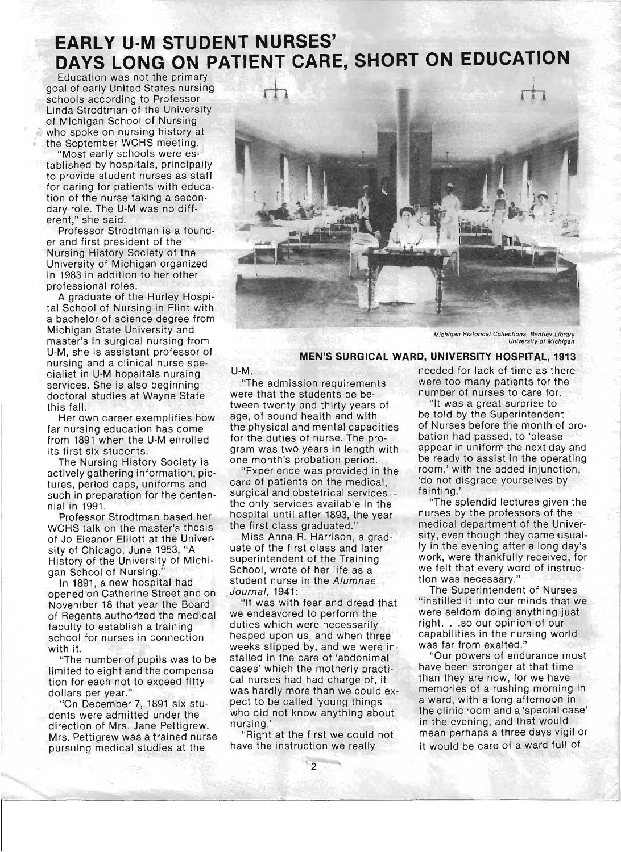# **EARLY U-M STUDENT NURSES' DAYS LONG ON PATIENT CARE, SHORT ON EDUCATION**

Education was not the primary schools according to Professor<br>Linda Strodtman of the University of Michigan School of Nursing who spoke on nursing history at the September WCHS meeting.

'Most early schools were established by hospitals, principally to provide student nurses as staff for caring for patients with education of the nurse taking a secondary role. The U-M was no different," she said.

Professor Strodtman is a founder and first president of the Nursing History Society of the University of Michigan organized in 1983 in addition to her other professional roles.

A graduate of the Hurley Hospital School of Nursing in Flint with a bachelor of science degree from Michigan State University and master's in surgical nursing from U-M, she is assistant professor of nursing and a clinical nurse specialist in U-M hopsitals nursing services. She is also beginning doctoral studies at Wayne State this fall.

Her own career exemplifies how far nursing education has come from 1891 when the U-M enrolled its first six students .

The Nursing History Society is actively gathering information, pictures, period caps, uniforms and such in preparation for the centennial in 1991.

Professor Strodtman based her WCHS talk on the master's thesis of Jo Eleanor Elliott at the University of Chicago, June 1953, "A History of the University of Michigan School of Nursing."

In 1891, a new hospital had opened on Catherine Street and on November 18 that year the Board of Regents authorized the medical faculty to establish a training school for nurses in connection with it.

"The number of pupils was to be limited to eight and the compensation for each not to exceed fifty dollars per year.'

"On December 7, 1891 six students were admitted under the direction of Mrs. Jane Pettigrew. Mrs. Pettigrew was a trained nurse pursuing medical studies at the



Michigan Historical Collections, Bentley Library University o( Michigan

## **MEN'S SURGICAL WARD, UNIVERSITY HOSPITAL, 1913**

U-M.

"The admission requirements were that the students be between twenty and thirty years of age, of sound health and with the physical and mental capacities for the duties of nurse. The program was two years in length with one month's probation period.

"Experience was provided in the care of patients on the medical, surgical and obstetrical services the only services available in the hospital until after 1893, the year the first class graduated."

Miss Anna R. Harrison, a graduate of the first class and later superintendent of the Training School, wrote of her life as a student nurse in the Alumnae ,Journal, 1941:

"It was with fear and dread that we endeavored to perform the duties which were necessarily heaped upon us, and when three weeks slipped by, and we were installed in the care of 'abdonimal cases' which the motherly practical nurses had had charge of, it was hardly more than we could expect to be called 'young things who did not know anything about nursing.'

"Right at the first we could not have the instruction we really

needed for lack of time as there were too many patients for the number of nurses to care for.

"It was a great surprise to be told by the Superintendent of Nurses before the month of probation had passed, to 'please appear in uniform the next day and be ready to assist in the operating room,' with the added injunction, 'do not disgrace yourselves by fainting.'

"The splendid lectures given the nurses by the professors of the medical department of the University, even though they came usually in the evening after a long day's work, were thankfully received, for we felt that every word of instruction was necessary."

The Superintendent of Nurses "instilled it into our minds that we were seldom doing anything just right. . .so our opinion of our capabilities in the nursing world was far from exalted."

"Our powers of endurance must have been stronger at that time than they are now, for we have memories of a rushing morning in a ward, with a long afternoon in the clinic room and a 'special case' in the evening, and that would mean perhaps a three days vigil or it would be care of a ward full of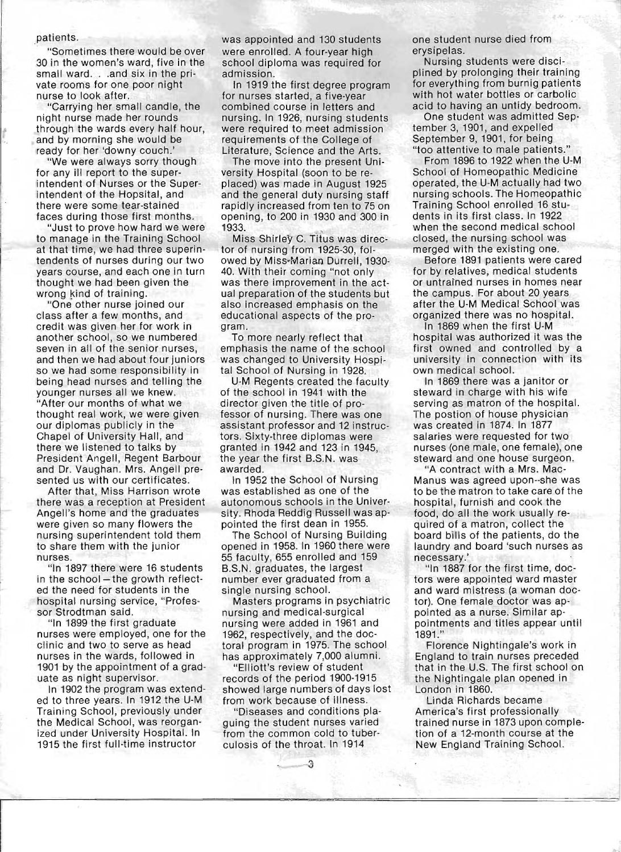### patients.

"Sometimes there would be over 30 in the women's ward, five in the small ward. . . and six in the private rooms for one poor night nurse to look after.

"Carrying her small candle, the night nurse made her rounds through the wards every half hour, and by morning she would be ready for her 'downy couch.'

"We were always sorry though for any ill report to the superintendent of Nurses or the Superintendent of the Hopsital, and there were some tear-stained faces during those first months.

"Just to prove how hard we were to manage in the Training School at that time, we had three superintendents of nurses during our two years course, and each one in turn thought we had been given the wrong kind of training.

"One other nurse joined our class after a few months, and credit was given her for work in another school, so we numbered seven in all of the senior nurses, and then we had about four juniors so we had some responsibility in being head nurses and telling the younger nurses all we knew. "After our months of what we thought real work, we were given our diplomas publicly in the Chapel of University Hall, and there we listened to talks by President Angell, Regent Barbour and Dr. Vaughan. Mrs. Angell presented us with our certificates.

After that, Miss Harrison wrote there was a reception at President Angell's home and the graduates were given so many flowers the nursing superintendent told them to share them with the junior nurses.

"In 1897 there were 16 students in the school-the growth reflected the need for students in the hospital nursing service, "Professor Strodtman said.

"In 1899 the first graduate nurses were employed, one for the clinic and two to serve as head nurses in the wards, followed in 1901 by the appointment of a graduate as night supervisor.

In 1902 the program was extended to three years. In 1912 the U-M Training School, previously under the Medical School, was reorganized under University Hospital. In 1915 the first full-time instructor

was appointed and 130 students were enrolled. A four-year high school diploma was required for admission.

In 1919 the first degree program for nurses started, a five-year combined course in letters and nursing. In 1926, nursing students were required to meet admission requirements of the College of Literature, Science and the Arts.

The move into the present University Hospital (soon to be replaced) was made in August 1925 and the general duty nursing staff rapidly increased from ten to 75 on opening, to 200 in 1930 and 300 in 1933.

Miss Shirley C. Titus was director of nursing from 1925-30, folowed by Miss-Marian Durrell, 1930-40. With their coming "not only was there improvement in the actual preparation of the students but also increased emphasis on the educational aspects of the program.

To more nearly reflect that emphasis the name of the school was changed to University Hospital School of Nursing in 1928.

U-M Regents created the faculty of the school in 1941 with the director given the title of professor of nursing. There was one assistant professor and 12 instructors. Sixty-three diplomas were granted in 1942 and 123 in 1945, the year the first B.S.N. was awarded.

In 1952 the School of Nursing was established as one of the autonomous schools in the University. Rhoda Reddig Russell was appointed the first dean in 1955.

The School of Nursing Building opened in 1958. In 1960 there were 55 faculty, 655 enrolled and 159 B.S.N. graduates, the largest number ever graduated from a single nursing school.

Masters programs in psychiatric nursing and medical-surgical nursing were added in 1961 and 1962, respectively, and the doctoral program in 1975. The school has approximately 7,000 alumni.

"Elliott's review of student records of the period 1900-1915 showed large numbers of days lost from work because of illness.

"Diseases and conditions plaguing the student nurses varied from the common cold to tuberculosis of the throat. In 1914

-3

one student nurse died from erysipelas.

Nursing students were disciplined by prolonging their training for everything from burnig patients with hot water bottles or carbolic acid to having an untidy bedroom.

One student was admitted September 3, 1901, and expelled September 9, 1901, for being "too attentive to male patients."

From 1896 to 1922 when the U-M School of Homeopathic Medicine operated, the U-M actually had two nursing schools. The Homeopathic Training School enrolled 16 students in its first class. In 1922 when the second medical school closed, the nursing school was merged with the existing one.

Before 1891 patients were cared for by relatives, medical students or untrained nurses in homes near the campus. For about 20 years after the U-M Medical School was organized there was no hospital.

In 1869 when the first U-M hospital was authorized it was the first owned and controlled by a university in connection with its own medical school.

In 1869 there was a janitor or steward in charge with his wife serving as matron of the hospital. The postion of house physician was created in 1874. In 1877 salaries were requested for two nurses (one male, one female), one steward and one house surgeon.

"A contract with a Mrs. Mac-Manus was agreed upon--she was to be the matron to take care of the hospital, furnish and cook the food, do all the work usually required of a matron, collect the board bills of the patients, do the laundry and board 'such nurses as necessary.'

"In 1887 for the first time, doctors were appointed ward master and ward mistress (a woman doctor). One female doctor was appointed as a nurse. Similar appointments and titles appear until 1891."

Florence Nightingale's work in England to train nurses preceded that in the U.S. The first school on the Nightingale plan opened in London in 1860.

Linda Richards became America's first professionally trained nurse in 1873 upon completion of a 12-month course at the New England Training School.